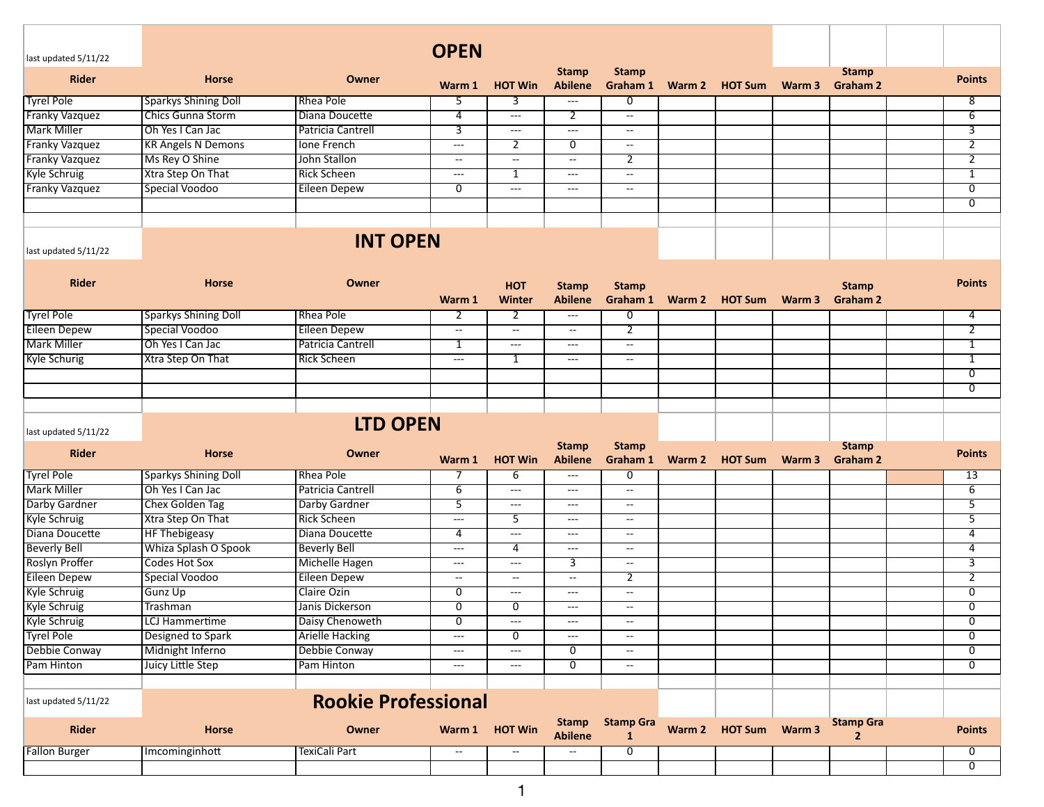|                       |                             |                            | <b>OPEN</b>                              |                                        |                                          |                                  |                       |        |                                    |                           |
|-----------------------|-----------------------------|----------------------------|------------------------------------------|----------------------------------------|------------------------------------------|----------------------------------|-----------------------|--------|------------------------------------|---------------------------|
| last updated 5/11/22  |                             |                            |                                          |                                        | <b>Stamp</b>                             | <b>Stamp</b>                     |                       |        | <b>Stamp</b>                       |                           |
| <b>Rider</b>          | <b>Horse</b>                | <b>Owner</b>               | Warm 1                                   | <b>HOT Win</b>                         | <b>Abilene</b>                           | Graham 1                         | Warm 2 HOT Sum Warm 3 |        | <b>Graham 2</b>                    | <b>Points</b>             |
| <b>Tyrel Pole</b>     | <b>Sparkys Shining Doll</b> | Rhea Pole                  | 5                                        | 3                                      | ---                                      | $\overline{0}$                   |                       |        |                                    | 8                         |
| <b>Franky Vazquez</b> | Chics Gunna Storm           | Diana Doucette             | $\overline{4}$                           | $\overline{a}$                         | $\overline{2}$                           | $\sim$                           |                       |        |                                    | $\overline{6}$            |
| Mark Miller           | Oh Yes I Can Jac            | Patricia Cantrell          | 3                                        | $---$                                  | $\sim$ $\sim$                            | $\rightarrow$                    |                       |        |                                    | 3                         |
| <b>Franky Vazquez</b> | <b>KR Angels N Demons</b>   | <b>Ione French</b>         | $\sim$ $\sim$                            | 2                                      | $\overline{0}$                           | $\overline{\phantom{a}}$         |                       |        |                                    | $\overline{2}$            |
| <b>Franky Vazquez</b> | Ms Rey O Shine              | John Stallon               | $-$                                      | $\overline{\phantom{a}}$               | $\overline{\phantom{a}}$                 | $\overline{2}$                   |                       |        |                                    | $\overline{2}$            |
| Kyle Schruig          | Xtra Step On That           | <b>Rick Scheen</b>         | $---$                                    | 1                                      | $\overline{\phantom{a}}$                 | $\sim$                           |                       |        |                                    | 1                         |
| <b>Franky Vazquez</b> | Special Voodoo              | <b>Eileen Depew</b>        | $\overline{0}$                           | ---                                    | $---$                                    | $\sim$                           |                       |        |                                    | $\overline{\mathfrak{o}}$ |
|                       |                             |                            |                                          |                                        |                                          |                                  |                       |        |                                    | $\overline{0}$            |
|                       |                             |                            |                                          |                                        |                                          |                                  |                       |        |                                    |                           |
| last updated 5/11/22  |                             | <b>INT OPEN</b>            |                                          |                                        |                                          |                                  |                       |        |                                    |                           |
|                       |                             |                            |                                          |                                        |                                          |                                  |                       |        |                                    |                           |
| <b>Rider</b>          | <b>Horse</b>                | Owner                      |                                          | <b>HOT</b>                             | <b>Stamp</b>                             | <b>Stamp</b>                     |                       |        | <b>Stamp</b>                       | <b>Points</b>             |
|                       |                             |                            | Warm 1                                   | Winter                                 | <b>Abilene</b>                           | Graham 1                         | Warm 2 HOT Sum        | Warm 3 | <b>Graham 2</b>                    |                           |
| <b>Tyrel Pole</b>     | <b>Sparkys Shining Doll</b> | Rhea Pole                  | 2                                        | 2                                      | $\qquad \qquad - -$                      | 0                                |                       |        |                                    | 4                         |
| Eileen Depew          | Special Voodoo              | <b>Eileen Depew</b>        | $\overline{\phantom{a}}$                 | $\overline{\phantom{a}}$               | $\overline{\phantom{a}}$                 | $\overline{2}$                   |                       |        |                                    | $\overline{2}$            |
| Mark Miller           | Oh Yes I Can Jac            | Patricia Cantrell          | 1                                        | $\overline{a}$                         | $\hspace{0.05cm} \ldots \hspace{0.05cm}$ | $\sim$                           |                       |        |                                    | $\overline{1}$            |
| <b>Kyle Schurig</b>   | Xtra Step On That           | <b>Rick Scheen</b>         | $\hspace{0.05cm}---$                     | 1                                      | $\hspace{0.05cm} \ldots \hspace{0.05cm}$ | $\rightarrow$                    |                       |        |                                    | 1                         |
|                       |                             |                            |                                          |                                        |                                          |                                  |                       |        |                                    | $\overline{0}$            |
|                       |                             |                            |                                          |                                        |                                          |                                  |                       |        |                                    | $\overline{0}$            |
|                       |                             |                            |                                          |                                        |                                          |                                  |                       |        |                                    |                           |
| last updated 5/11/22  |                             | <b>LTD OPEN</b>            |                                          |                                        |                                          |                                  |                       |        |                                    |                           |
| <b>Rider</b>          | <b>Horse</b>                | Owner                      | Warm 1                                   | <b>HOT Win</b>                         | <b>Stamp</b><br><b>Abilene</b>           | <b>Stamp</b><br>Graham 1         | Warm 2 HOT Sum        | Warm 3 | <b>Stamp</b><br><b>Graham 2</b>    | <b>Points</b>             |
| <b>Tyrel Pole</b>     | <b>Sparkys Shining Doll</b> | Rhea Pole                  |                                          | $\overline{6}$                         | ---                                      | $\overline{0}$                   |                       |        |                                    | 13                        |
| <b>Mark Miller</b>    | Oh Yes I Can Jac            | <b>Patricia Cantrell</b>   | 6                                        | $---$                                  | $\hspace{0.05cm} \ldots \hspace{0.05cm}$ | $\sim$                           |                       |        |                                    | $\overline{6}$            |
| Darby Gardner         | Chex Golden Tag             | Darby Gardner              | 5                                        | $\sim$ $\sim$                          | $\overline{\phantom{a}}$                 | $\sim$                           |                       |        |                                    | 5                         |
| <b>Kyle Schruig</b>   | Xtra Step On That           | <b>Rick Scheen</b>         | $\overline{\phantom{a}}$                 | $\overline{5}$                         | $\hspace{0.05cm} \ldots \hspace{0.05cm}$ | $\sim$                           |                       |        |                                    | $\overline{5}$            |
| Diana Doucette        | <b>HF Thebigeasy</b>        | Diana Doucette             | $\overline{4}$                           | $\scriptstyle\cdots\scriptstyle\cdots$ | $\hspace{0.05cm} \ldots \hspace{0.05cm}$ | $\sim$                           |                       |        |                                    | $\overline{4}$            |
| <b>Beverly Bell</b>   | Whiza Splash O Spook        | <b>Beverly Bell</b>        | $---$                                    | 4                                      | ---                                      | $\rightarrow$                    |                       |        |                                    | 4                         |
| Roslyn Proffer        | <b>Codes Hot Sox</b>        | <b>Michelle Hagen</b>      | $---$                                    | ---                                    | 3                                        | $\rightarrow$                    |                       |        |                                    | $\overline{3}$            |
| <b>Eileen Depew</b>   | Special Voodoo              | <b>Eileen Depew</b>        | $\overline{\phantom{a}}$                 | $\overline{\phantom{a}}$               | $\overline{\phantom{a}}$                 | $\overline{2}$                   |                       |        |                                    | $\overline{2}$            |
| <b>Kyle Schruig</b>   | <b>Gunz Up</b>              | Claire Ozin                | $\overline{0}$                           | $---$                                  | $\cdots$                                 | $- -$                            |                       |        |                                    | $\overline{0}$            |
| <b>Kyle Schruig</b>   | Trashman                    | Janis Dickerson            | $\overline{0}$                           | 0                                      | $---$                                    | $- -$                            |                       |        |                                    | $\overline{0}$            |
| <b>Kyle Schruig</b>   | <b>LCJ Hammertime</b>       | Daisy Chenoweth            | $\overline{0}$                           | $---$                                  | $\hspace{0.05cm} \ldots$                 | $\rightarrow$                    |                       |        |                                    | $\overline{0}$            |
| <b>Tyrel Pole</b>     | Designed to Spark           | <b>Arielle Hacking</b>     | $\sim$ $\sim$                            | 0                                      | $\cdots$                                 | $\rightarrow$                    |                       |        |                                    | $\overline{0}$            |
| Debbie Conway         | Midnight Inferno            | Debbie Conway              | $\hspace{0.05cm} \ldots \hspace{0.05cm}$ | $---$                                  | 0                                        | $\overline{\phantom{a}}$         |                       |        |                                    | 0                         |
| Pam Hinton            | Juicy Little Step           | Pam Hinton                 | $---$                                    | $---$                                  | $\overline{0}$                           | $\sim$                           |                       |        |                                    | $\overline{0}$            |
|                       |                             |                            |                                          |                                        |                                          |                                  |                       |        |                                    |                           |
| last updated 5/11/22  |                             | <b>Rookie Professional</b> |                                          |                                        |                                          |                                  |                       |        |                                    |                           |
| <b>Rider</b>          | <b>Horse</b>                | Owner                      |                                          | Warm 1 HOT Win                         | <b>Stamp</b><br><b>Abilene</b>           | <b>Stamp Gra</b><br>$\mathbf{1}$ | Warm 2 HOT Sum Warm 3 |        | <b>Stamp Gra</b><br>$\overline{2}$ | <b>Points</b>             |
| <b>Fallon Burger</b>  | Imcominginhott              | TexiCali Part              | $\overline{\phantom{a}}$                 | $\overline{\phantom{a}}$               | $\overline{\phantom{m}}$                 | $\overline{0}$                   |                       |        |                                    | $\overline{0}$            |
|                       |                             |                            |                                          |                                        |                                          |                                  |                       |        |                                    | $\overline{0}$            |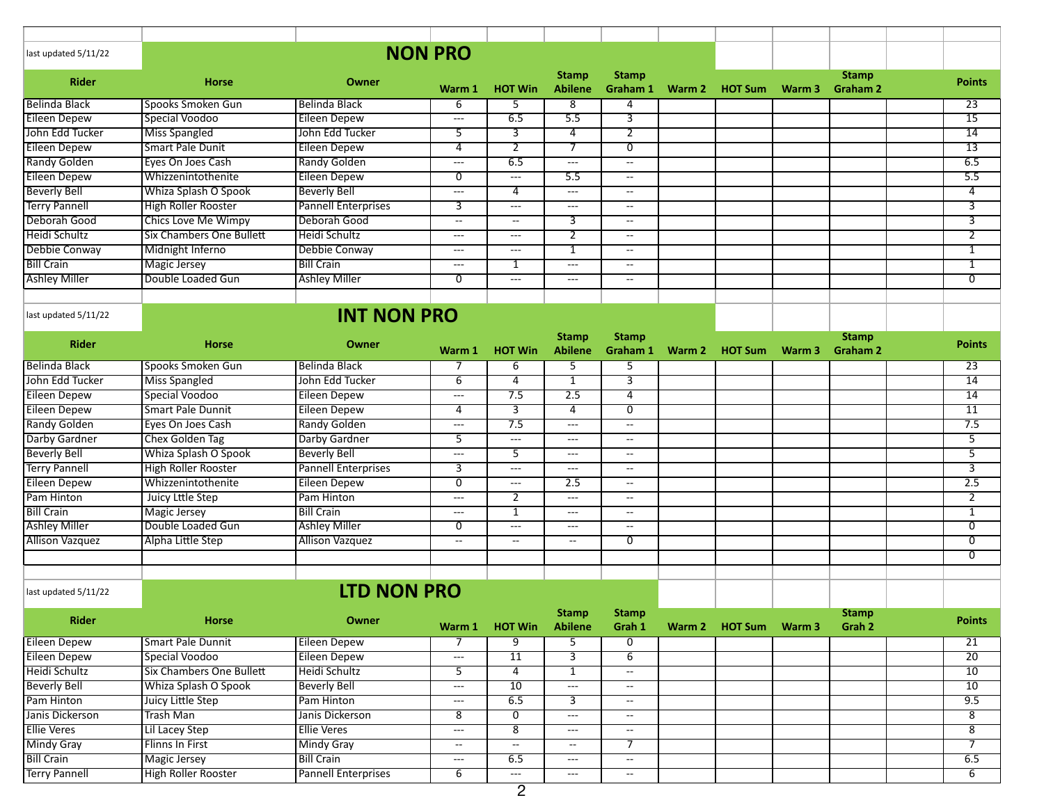| last updated 5/11/22   |                                 |                            | <b>NON PRO</b>           |                          |                                          |                                               |                       |        |                                 |                 |
|------------------------|---------------------------------|----------------------------|--------------------------|--------------------------|------------------------------------------|-----------------------------------------------|-----------------------|--------|---------------------------------|-----------------|
| <b>Rider</b>           | <b>Horse</b>                    | Owner                      | Warm 1                   | <b>HOT Win</b>           | <b>Stamp</b><br><b>Abilene</b>           | <b>Stamp</b><br>Graham 1                      | Warm 2 HOT Sum        | Warm 3 | <b>Stamp</b><br><b>Graham 2</b> | <b>Points</b>   |
| <b>Belinda Black</b>   | Spooks Smoken Gun               | <b>Belinda Black</b>       | 6                        | 5                        | 8                                        | 4                                             |                       |        |                                 | 23              |
| <b>Eileen Depew</b>    | Special Voodoo                  | <b>Eileen Depew</b>        | $---$                    | 6.5                      | 5.5                                      | $\overline{3}$                                |                       |        |                                 | 15              |
| John Edd Tucker        | <b>Miss Spangled</b>            | John Edd Tucker            | 5                        | 3                        | $\overline{4}$                           | $\overline{2}$                                |                       |        |                                 | $\overline{14}$ |
| <b>Eileen Depew</b>    | <b>Smart Pale Dunit</b>         | <b>Eileen Depew</b>        | 4                        | $\overline{2}$           | 7                                        | $\overline{0}$                                |                       |        |                                 | 13              |
| Randy Golden           | Eyes On Joes Cash               | <b>Randy Golden</b>        | $---$                    | 6.5                      | ---                                      | $- -$                                         |                       |        |                                 | 6.5             |
| <b>Eileen Depew</b>    | Whizzenintothenite              | <b>Eileen Depew</b>        | 0                        | ---                      | 5.5                                      | $- -$                                         |                       |        |                                 | 5.5             |
| <b>Beverly Bell</b>    | Whiza Splash O Spook            | <b>Beverly Bell</b>        | $\overline{\phantom{a}}$ | $\overline{4}$           | $\overline{\phantom{a}}$                 | $\overline{\phantom{a}}$                      |                       |        |                                 | 4               |
| <b>Terry Pannell</b>   | <b>High Roller Rooster</b>      | <b>Pannell Enterprises</b> | 3                        | $---$                    | ---                                      | $- -$                                         |                       |        |                                 | 3               |
| Deborah Good           | <b>Chics Love Me Wimpy</b>      | Deborah Good               | --                       | $\overline{a}$           | 3                                        | $\overline{\phantom{a}}$                      |                       |        |                                 | $\overline{3}$  |
| Heidi Schultz          | <b>Six Chambers One Bullett</b> | Heidi Schultz              | $\overline{a}$           | ---                      | $\overline{2}$                           | $\sim$                                        |                       |        |                                 | $\overline{2}$  |
| Debbie Conway          | Midnight Inferno                | Debbie Conway              | $---$                    | ---                      | $\mathbf{1}$                             | $\rightarrow$                                 |                       |        |                                 | 1               |
| <b>Bill Crain</b>      | <b>Magic Jersey</b>             | <b>Bill Crain</b>          | $\overline{a}$           | 1                        | ---                                      | $\overline{\phantom{a}}$                      |                       |        |                                 | 1               |
| <b>Ashley Miller</b>   | Double Loaded Gun               | <b>Ashley Miller</b>       | 0                        | $---$                    | $---$                                    | $\sim$                                        |                       |        |                                 | $\overline{0}$  |
|                        |                                 |                            |                          |                          |                                          |                                               |                       |        |                                 |                 |
| last updated 5/11/22   |                                 | <b>INT NON PRO</b>         |                          |                          |                                          |                                               |                       |        |                                 |                 |
|                        |                                 |                            |                          |                          |                                          |                                               |                       |        |                                 |                 |
| <b>Rider</b>           | <b>Horse</b>                    | Owner                      | Warm 1                   | <b>HOT Win</b>           | <b>Stamp</b><br><b>Abilene</b>           | <b>Stamp</b><br>Graham 1                      | Warm 2 HOT Sum        | Warm 3 | <b>Stamp</b><br><b>Graham 2</b> | <b>Points</b>   |
| Belinda Black          | Spooks Smoken Gun               | <b>Belinda Black</b>       | 7                        | 6                        | 5                                        | 5                                             |                       |        |                                 | 23              |
| John Edd Tucker        | <b>Miss Spangled</b>            | John Edd Tucker            | 6                        | $\overline{4}$           | $\overline{1}$                           | $\overline{3}$                                |                       |        |                                 | $\overline{14}$ |
| <b>Eileen Depew</b>    | Special Voodoo                  | <b>Eileen Depew</b>        | $\overline{a}$           | 7.5                      | 2.5                                      | 4                                             |                       |        |                                 | 14              |
| <b>Eileen Depew</b>    | <b>Smart Pale Dunnit</b>        | <b>Eileen Depew</b>        | 4                        | $\overline{3}$           | 4                                        | $\overline{0}$                                |                       |        |                                 | 11              |
| <b>Randy Golden</b>    | Eyes On Joes Cash               | <b>Randy Golden</b>        | $\overline{a}$           | 7.5                      | ---                                      | $\rightarrow$                                 |                       |        |                                 | 7.5             |
| Darby Gardner          | Chex Golden Tag                 | Darby Gardner              | 5                        | $---$                    | ---                                      | $\overline{\phantom{a}}$                      |                       |        |                                 | $\overline{5}$  |
| <b>Beverly Bell</b>    | Whiza Splash O Spook            | <b>Beverly Bell</b>        | $\overline{a}$           | $\overline{5}$           | $---$                                    | $- -$                                         |                       |        |                                 | $\overline{5}$  |
| <b>Terry Pannell</b>   | <b>High Roller Rooster</b>      | <b>Pannell Enterprises</b> | 3                        | $---$                    | ---                                      | $\overline{\phantom{a}}$                      |                       |        |                                 | $\overline{3}$  |
| <b>Eileen Depew</b>    | Whizzenintothenite              | <b>Eileen Depew</b>        | $\overline{0}$           | ---                      | 2.5                                      | $\overline{\phantom{a}}$                      |                       |        |                                 | 2.5             |
| Pam Hinton             | Juicy Lttle Step                | Pam Hinton                 | $---$                    | 2                        | ---                                      | $\sim$                                        |                       |        |                                 | 2               |
| <b>Bill Crain</b>      | <b>Magic Jersey</b>             | <b>Bill Crain</b>          | $\scriptstyle \cdots$    | $\overline{1}$           | $\hspace{0.05cm} \ldots \hspace{0.05cm}$ | $\rightarrow$                                 |                       |        |                                 | $\overline{1}$  |
| <b>Ashley Miller</b>   | Double Loaded Gun               | <b>Ashley Miller</b>       | 0                        | ---                      | $---$                                    | $\overline{\phantom{a}}$                      |                       |        |                                 | $\overline{0}$  |
| <b>Allison Vazquez</b> | Alpha Little Step               | <b>Allison Vazquez</b>     | --                       | $\overline{\phantom{a}}$ | --                                       | $\overline{0}$                                |                       |        |                                 | $\overline{0}$  |
|                        |                                 |                            |                          |                          |                                          |                                               |                       |        |                                 | $\overline{0}$  |
|                        |                                 |                            |                          |                          |                                          |                                               |                       |        |                                 |                 |
| last updated 5/11/22   |                                 | <b>LTD NON PRO</b>         |                          |                          |                                          |                                               |                       |        |                                 |                 |
| <b>Rider</b>           | Horse                           | Owner                      |                          | Warm 1 HOT Win           | <b>Stamp</b><br><b>Abilene</b>           | <b>Stamp</b><br>Grah 1                        | Warm 2 HOT Sum Warm 3 |        | <b>Stamp</b><br>Grah 2          | <b>Points</b>   |
| <b>Eileen Depew</b>    | <b>Smart Pale Dunnit</b>        | <b>Eileen Depew</b>        | 7                        | 9                        | 5                                        | $\overline{0}$                                |                       |        |                                 | $\overline{21}$ |
| <b>Eileen Depew</b>    | Special Voodoo                  | <b>Eileen Depew</b>        | $\sim$ $\sim$            | 11                       | $\overline{3}$                           | $\overline{6}$                                |                       |        |                                 | 20              |
| Heidi Schultz          | <b>Six Chambers One Bullett</b> | Heidi Schultz              | 5 <sup>2</sup>           | $\overline{4}$           | $\mathbf{1}$                             | $\sim$                                        |                       |        |                                 | 10              |
| <b>Beverly Bell</b>    | Whiza Splash O Spook            | <b>Beverly Bell</b>        | $\sim$ $\sim$            | $\overline{10}$          | ---                                      | $\mathord{\hspace{1pt}\text{--}\hspace{1pt}}$ |                       |        |                                 | $\overline{10}$ |
| Pam Hinton             | Juicy Little Step               | Pam Hinton                 | $\hspace{0.05cm} \ldots$ | 6.5                      | $\overline{3}$                           | $\overline{\phantom{a}}$                      |                       |        |                                 | 9.5             |
| Janis Dickerson        | Trash Man                       | Janis Dickerson            | 8                        | $\overline{0}$           | $---$                                    | $\rightarrow$                                 |                       |        |                                 | $\overline{8}$  |
| <b>Ellie Veres</b>     | <b>Lil Lacey Step</b>           | <b>Ellie Veres</b>         | $--$                     | $\overline{8}$           | $\cdots$                                 | $\rightarrow$                                 |                       |        |                                 | $\overline{8}$  |
| <b>Mindy Gray</b>      | Flinns In First                 | <b>Mindy Gray</b>          | --                       | $\sim$                   | --                                       | 7                                             |                       |        |                                 | 7               |
| <b>Bill Crain</b>      | Magic Jersey                    | <b>Bill Crain</b>          | $\sim$ $\sim$            | 6.5                      | $\sim$ $\sim$                            | $\overline{\phantom{a}}$                      |                       |        |                                 | 6.5             |
| <b>Terry Pannell</b>   | <b>High Roller Rooster</b>      | <b>Pannell Enterprises</b> | 6                        | $\cdots$                 | $\hspace{0.05cm} \ldots$                 | $\overline{\phantom{a}}$                      |                       |        |                                 | 6               |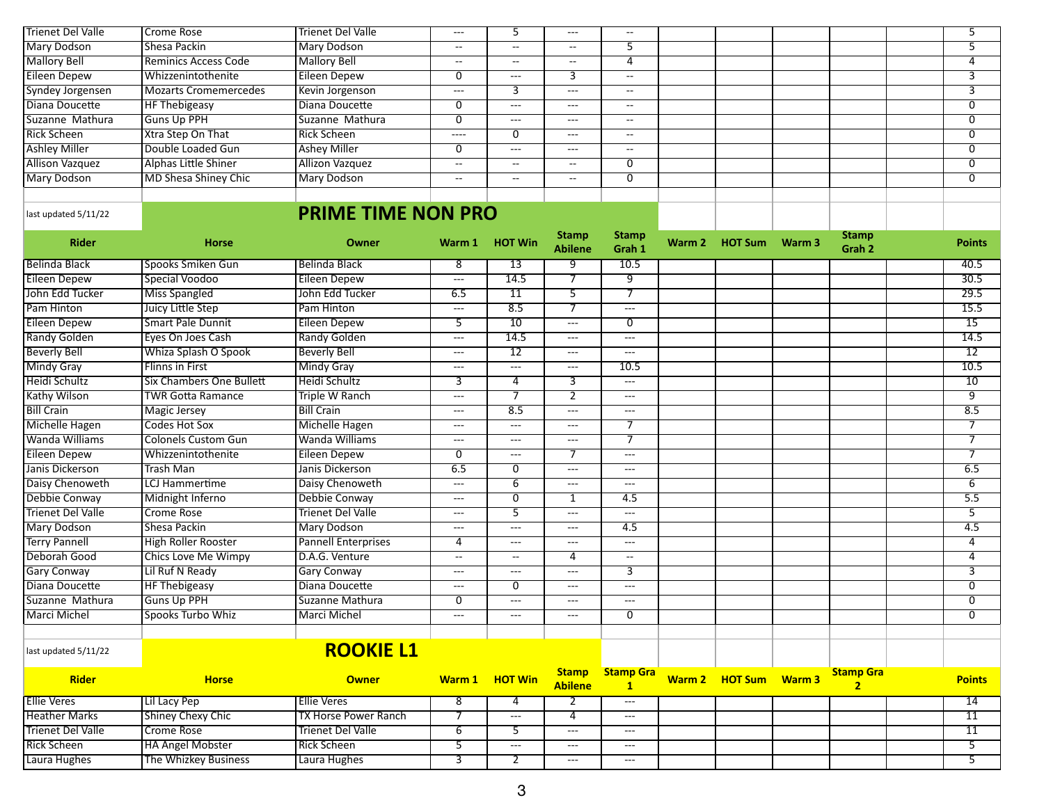| Trienet Del Valle      | Crome Rose                   | Trienet Del Valle      | $- - -$ |         | $---$             | $- -$         |  |  |  |
|------------------------|------------------------------|------------------------|---------|---------|-------------------|---------------|--|--|--|
| Mary Dodson            | Shesa Packin                 | Mary Dodson            | --      | $- -$   | --                |               |  |  |  |
| <b>Mallory Bell</b>    | Reminics Access Code         | <b>Mallory Bell</b>    | --      | $- -$   | --                |               |  |  |  |
| Eileen Depew           | Whizzenintothenite           | Eileen Depew           |         | ---     |                   | $- -$         |  |  |  |
| Syndey Jorgensen       | <b>Mozarts Cromemercedes</b> | Kevin Jorgenson        | $---$   |         | ---               | $- -$         |  |  |  |
| Diana Doucette         | <b>HF Thebigeasy</b>         | Diana Doucette         |         | $---$   | ---               | $- -$         |  |  |  |
| Suzanne Mathura        | <b>Guns Up PPH</b>           | Suzanne Mathura        |         | $- - -$ | ---               | $- -$         |  |  |  |
| <b>Rick Scheen</b>     | <b>Xtra Step On That</b>     | Rick Scheen            | $---$   |         | $\qquad \qquad -$ | $\sim$ $\sim$ |  |  |  |
| <b>Ashley Miller</b>   | Double Loaded Gun            | <b>Ashey Miller</b>    |         | ---     | ---               | $\sim$ $\sim$ |  |  |  |
| <b>Allison Vazquez</b> | Alphas Little Shiner         | <b>Allizon Vazquez</b> | --      | $- -$   | --                |               |  |  |  |
| Mary Dodson            | MD Shesa Shiney Chic         | Mary Dodson            | --      | $- -$   | --                | 0             |  |  |  |
|                        |                              |                        |         |         |                   |               |  |  |  |

## **PRIME TIME NON PRO**

| <b>Rider</b>             | <b>Horse</b>                    | Owner                       |                           | Warm 1 HOT Win    | <b>Stamp</b><br><b>Abilene</b>      | <b>Stamp</b><br>Grah 1           | Warm 2 HOT Sum Warm 3 | <b>Stamp</b><br>Grah 2             | <b>Points</b>     |
|--------------------------|---------------------------------|-----------------------------|---------------------------|-------------------|-------------------------------------|----------------------------------|-----------------------|------------------------------------|-------------------|
| Belinda Black            | Spooks Smiken Gun               | <b>Belinda Black</b>        | 8                         | 13                | 9                                   | 10.5                             |                       |                                    | 40.5              |
| <b>Eileen Depew</b>      | Special Voodoo                  | <b>Eileen Depew</b>         | $\qquad \qquad -$         | 14.5              | $\overline{\tau}$                   | ज़                               |                       |                                    | 30.5              |
| John Edd Tucker          | <b>Miss Spangled</b>            | John Edd Tucker             | 6.5                       | $\overline{11}$   | 5                                   | $\overline{\tau}$                |                       |                                    | 29.5              |
| Pam Hinton               | Juicy Little Step               | Pam Hinton                  | $---$                     | 8.5               | $\overline{\tau}$                   | $\qquad \qquad - -$              |                       |                                    | 15.5              |
| <b>Eileen Depew</b>      | <b>Smart Pale Dunnit</b>        | <b>Eileen Depew</b>         | 5                         | 10                | $---$                               | $\overline{0}$                   |                       |                                    | $\overline{15}$   |
| <b>Randy Golden</b>      | Eyes On Joes Cash               | <b>Randy Golden</b>         | $\qquad \qquad -\qquad -$ | 14.5              | $\cdots$                            | $\qquad \qquad - -$              |                       |                                    | 14.5              |
| <b>Beverly Bell</b>      | Whiza Splash O Spook            | <b>Beverly Bell</b>         | $\qquad \qquad -\qquad -$ | $\overline{12}$   | $\cdots$                            | $\qquad \qquad - -$              |                       |                                    | $\overline{12}$   |
| <b>Mindy Gray</b>        | <b>Flinns in First</b>          | <b>Mindy Gray</b>           | $\qquad \qquad - -$       | $---$             | $\cdots$                            | 10.5                             |                       |                                    | 10.5              |
| Heidi Schultz            | <b>Six Chambers One Bullett</b> | <b>Heidi Schultz</b>        | 3                         | $\overline{4}$    | $\overline{3}$                      | $\qquad \qquad - -$              |                       |                                    | 10                |
| Kathy Wilson             | <b>TWR Gotta Ramance</b>        | <b>Triple W Ranch</b>       | $\qquad \qquad - -$       | 7                 | $\overline{2}$                      | $\qquad \qquad - -$              |                       |                                    | 9                 |
| <b>Bill Crain</b>        | <b>Magic Jersey</b>             | <b>Bill Crain</b>           | $\qquad \qquad -\qquad -$ | 8.5               | $---$                               | $---$                            |                       |                                    | 8.5               |
| Michelle Hagen           | <b>Codes Hot Sox</b>            | Michelle Hagen              | $\qquad \qquad -$         | $\overline{a}$    | ---                                 | 7                                |                       |                                    | $\overline{7}$    |
| <b>Wanda Williams</b>    | <b>Colonels Custom Gun</b>      | <b>Wanda Williams</b>       | $---$                     | $---$             | ---                                 | 7                                |                       |                                    | $\overline{\tau}$ |
| <b>Eileen Depew</b>      | Whizzenintothenite              | <b>Eileen Depew</b>         | 0                         | $---$             | 7                                   | $\qquad \qquad - -$              |                       |                                    | 7                 |
| Janis Dickerson          | <b>Trash Man</b>                | Janis Dickerson             | 6.5                       | 0                 | $---$                               | $\qquad \qquad - -$              |                       |                                    | 6.5               |
| Daisy Chenoweth          | <b>LCJ Hammertime</b>           | Daisy Chenoweth             | $\cdots$                  | 6                 | $---$                               | $---$                            |                       |                                    | 6                 |
| Debbie Conway            | Midnight Inferno                | Debbie Conway               | $\qquad \qquad -$         | $\overline{0}$    | $\mathbf{1}$                        | 4.5                              |                       |                                    | $\overline{5.5}$  |
| <b>Trienet Del Valle</b> | <b>Crome Rose</b>               | <b>Trienet Del Valle</b>    | $\cdots$                  | 5                 | $\overline{a}$                      | $\overline{\phantom{a}}$         |                       |                                    | $\overline{5}$    |
| <b>Mary Dodson</b>       | Shesa Packin                    | <b>Mary Dodson</b>          | $\qquad \qquad - -$       | $---$             | $---$                               | 4.5                              |                       |                                    | 4.5               |
| <b>Terry Pannell</b>     | <b>High Roller Rooster</b>      | <b>Pannell Enterprises</b>  | 4                         | $\qquad \qquad -$ | $---$                               | $\qquad \qquad - -$              |                       |                                    | 4                 |
| Deborah Good             | <b>Chics Love Me Wimpy</b>      | D.A.G. Venture              | $\overline{\phantom{a}}$  | $\sim$ $\sim$     | 4                                   | --                               |                       |                                    | 4                 |
| <b>Gary Conway</b>       | Lil Ruf N Ready                 | <b>Gary Conway</b>          | $\qquad \qquad -\qquad -$ | $---$             | $---$                               | $\overline{3}$                   |                       |                                    | 3                 |
| Diana Doucette           | <b>HF Thebigeasy</b>            | Diana Doucette              | $\qquad \qquad -\qquad -$ | $\Omega$          | $-$                                 | $---$                            |                       |                                    | $\overline{0}$    |
| Suzanne Mathura          | <b>Guns Up PPH</b>              | Suzanne Mathura             | $\overline{0}$            | $---$             | ---                                 | $\qquad \qquad - -$              |                       |                                    | $\overline{0}$    |
| Marci Michel             | Spooks Turbo Whiz               | <b>Marci Michel</b>         | $---$                     | $---$             | $---$                               | 0                                |                       |                                    | $\mathbf{0}$      |
|                          |                                 |                             |                           |                   |                                     |                                  |                       |                                    |                   |
| last updated 5/11/22     |                                 | <b>ROOKIE L1</b>            |                           |                   |                                     |                                  |                       |                                    |                   |
| <b>Rider</b>             | <b>Horse</b>                    | <b>Owner</b>                | Warm 1                    | <b>HOT Win</b>    | <b>Stamp</b><br><b>Abilene</b>      | <b>Stamp Gra</b><br>$\mathbf{1}$ | Warm 2 HOT Sum Warm 3 | <b>Stamp Gra</b><br>$\overline{2}$ | <b>Points</b>     |
| <b>Ellie Veres</b>       | Lil Lacy Pep                    | <b>Ellie Veres</b>          | 8                         | 4                 | 2                                   | $\cdots$                         |                       |                                    | $\overline{14}$   |
| <b>Heather Marks</b>     | <b>Shiney Chexy Chic</b>        | <b>TX Horse Power Ranch</b> | 7                         | $\overline{a}$    | 4                                   | $---$                            |                       |                                    | $\overline{11}$   |
| <b>Trienet Del Valle</b> | <b>Crome Rose</b>               | <b>Trienet Del Valle</b>    | $6\overline{6}$           | 5                 | $\hspace{0.05cm}---\hspace{0.05cm}$ | $---$                            |                       |                                    | $\overline{11}$   |
| <b>Rick Scheen</b>       | <b>HA Angel Mobster</b>         | <b>Rick Scheen</b>          | 5                         | $---$             | $---$                               | $\qquad \qquad -$                |                       |                                    | $\overline{5}$    |

Laura Hughes The Whizkey Business Laura Hughes 3 3 2 --- <del>--- 1 --- 1 --- 1 --- 1 --- 1 --- 1 --- 1 --- 1 --- 1 --- 1 --- 1 --- 1 --- 1 --- 1 --- 1 --- 1 --- 1 --- 1 --- 1 --- 1 --- 1 --- 1 --- 1 --- 1 --- 1 --- 1 --- 1 --</del>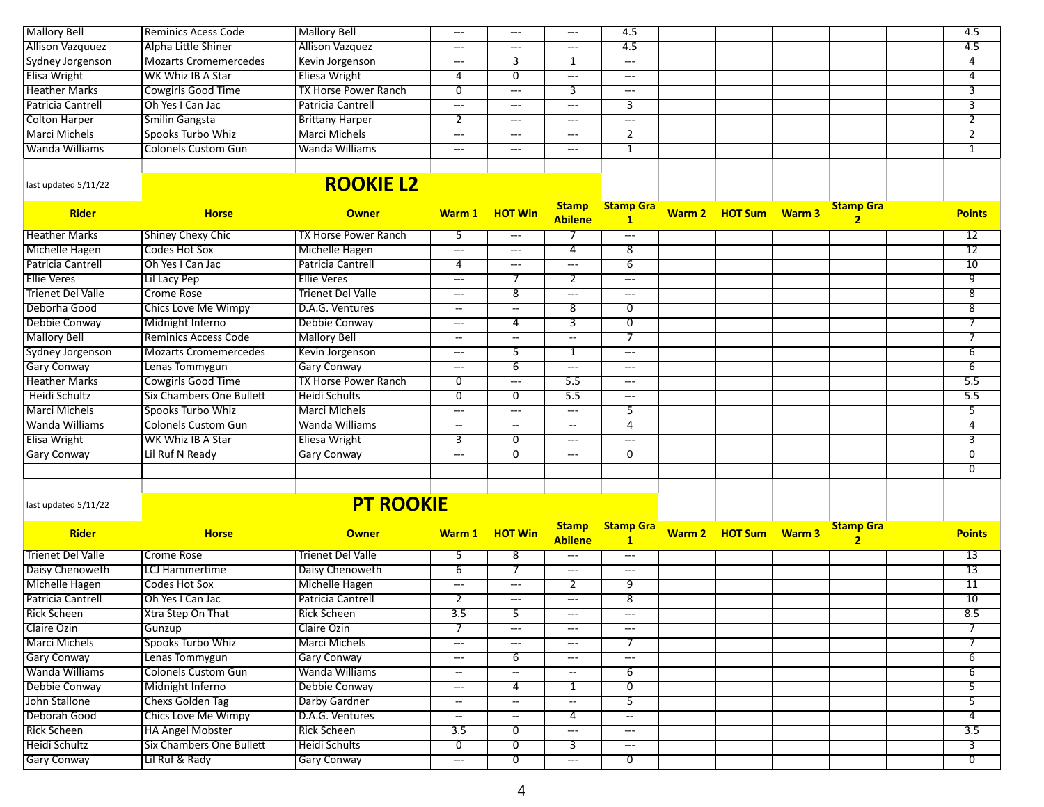| <b>Mallory Bell</b>      | <b>Reminics Acess Code</b>      | <b>Mallory Bell</b>         | $---$                    | $---$                                    | ---                                                                 | 4.5                                 |                       |                                    | 4.5                     |
|--------------------------|---------------------------------|-----------------------------|--------------------------|------------------------------------------|---------------------------------------------------------------------|-------------------------------------|-----------------------|------------------------------------|-------------------------|
| <b>Allison Vazquuez</b>  | Alpha Little Shiner             | <b>Allison Vazquez</b>      | ---                      | $\cdots$                                 | $\frac{1}{2} \left( \frac{1}{2} \right) \left( \frac{1}{2} \right)$ | 4.5                                 |                       |                                    | 4.5                     |
| <b>Sydney Jorgenson</b>  | <b>Mozarts Cromemercedes</b>    | Kevin Jorgenson             | ---                      | 3                                        | 1                                                                   | $\hspace{0.05cm} \ldots$            |                       |                                    | 4                       |
| Elisa Wright             | WK Whiz IB A Star               | Eliesa Wright               | 4                        | 0                                        | $\sim$ $\sim$                                                       | $\hspace{0.05cm}---\hspace{0.05cm}$ |                       |                                    | 4                       |
| <b>Heather Marks</b>     | <b>Cowgirls Good Time</b>       | <b>TX Horse Power Ranch</b> | $\overline{0}$           | ---                                      | $\overline{3}$                                                      | $\overline{a}$                      |                       |                                    | $\overline{3}$          |
| Patricia Cantrell        | Oh Yes I Can Jac                | Patricia Cantrell           | ---                      | $\cdots$                                 | $\sim$ $\sim$                                                       | 3                                   |                       |                                    | 3                       |
| <b>Colton Harper</b>     | <b>Smilin Gangsta</b>           | <b>Brittany Harper</b>      | 2                        | $---$                                    | ---                                                                 | $\overline{a}$                      |                       |                                    | 2                       |
| Marci Michels            | Spooks Turbo Whiz               | Marci Michels               | ---                      | $\cdots$                                 | $\hspace{0.05cm} \ldots \hspace{0.05cm}$                            | $\overline{2}$                      |                       |                                    | $\overline{2}$          |
| <b>Wanda Williams</b>    | <b>Colonels Custom Gun</b>      | Wanda Williams              | $---$                    | $\scriptstyle \cdots$                    | ---                                                                 | 1                                   |                       |                                    | 1                       |
|                          |                                 |                             |                          |                                          |                                                                     |                                     |                       |                                    |                         |
| last updated 5/11/22     |                                 | <b>ROOKIE L2</b>            |                          |                                          |                                                                     |                                     |                       |                                    |                         |
| <b>Rider</b>             | <b>Horse</b>                    | <b>Owner</b>                |                          | Warm 1 HOT Win                           | <b>Stamp</b><br><b>Abilene</b>                                      | <b>Stamp Gra</b><br>$\mathbf{1}$    | Warm 2 HOT Sum Warm 3 | <b>Stamp Gra</b><br>$\overline{2}$ | <b>Points</b>           |
| <b>Heather Marks</b>     | <b>Shiney Chexy Chic</b>        | TX Horse Power Ranch        | 5                        | $\cdots$                                 | 7                                                                   | $\sim$ $\sim$                       |                       |                                    | 12                      |
| Michelle Hagen           | <b>Codes Hot Sox</b>            | Michelle Hagen              | ---                      | $\cdots$                                 | 4                                                                   | $\overline{8}$                      |                       |                                    | $\overline{12}$         |
| Patricia Cantrell        | Oh Yes I Can Jac                | Patricia Cantrell           | 4                        | $\hspace{0.05cm}---$                     | $---$                                                               | $\overline{6}$                      |                       |                                    | 10                      |
| <b>Ellie Veres</b>       | Lil Lacy Pep                    | <b>Ellie Veres</b>          | $---$                    |                                          | 2                                                                   | $\sim$ $\sim$                       |                       |                                    | ज़                      |
| <b>Trienet Del Valle</b> | <b>Crome Rose</b>               | <b>Trienet Del Valle</b>    | ---                      | 8                                        | ---                                                                 | $\overline{a}$                      |                       |                                    | $\overline{8}$          |
| Deborha Good             | <b>Chics Love Me Wimpy</b>      | D.A.G. Ventures             | $\overline{\phantom{a}}$ | $-$                                      | $\overline{\mathbf{8}}$                                             | $\overline{0}$                      |                       |                                    | $\overline{\mathbf{8}}$ |
| Debbie Conway            | Midnight Inferno                | Debbie Conway               | $---$                    | 4                                        | $\overline{3}$                                                      | $\overline{0}$                      |                       |                                    | 7                       |
| <b>Mallory Bell</b>      | Reminics Access Code            | <b>Mallory Bell</b>         | $\overline{\phantom{a}}$ | --                                       | $\overline{\phantom{a}}$                                            | 7                                   |                       |                                    | 7                       |
| Sydney Jorgenson         | <b>Mozarts Cromemercedes</b>    | Kevin Jorgenson             | ---                      | 5                                        | $\overline{1}$                                                      | $\overline{a}$                      |                       |                                    | $\overline{6}$          |
| <b>Gary Conway</b>       | Lenas Tommygun                  | Gary Conway                 | ---                      | 6                                        | $\hspace{0.05cm} \ldots$                                            | $\overline{a}$                      |                       |                                    | $\overline{6}$          |
| <b>Heather Marks</b>     | <b>Cowgirls Good Time</b>       | <b>TX Horse Power Ranch</b> | $\overline{0}$           | ---                                      | $\overline{5.5}$                                                    | $\overline{\phantom{a}}$            |                       |                                    | 5.5                     |
| Heidi Schultz            | <b>Six Chambers One Bullett</b> | <b>Heidi Schults</b>        | 0                        | 0                                        | 5.5                                                                 | $--$                                |                       |                                    | 5.5                     |
| <b>Marci Michels</b>     | Spooks Turbo Whiz               | <b>Marci Michels</b>        | ---                      | $\hspace{0.05cm}---$                     | $---$                                                               | 5                                   |                       |                                    | $\overline{5}$          |
| <b>Wanda Williams</b>    | <b>Colonels Custom Gun</b>      | Wanda Williams              | $\overline{\phantom{a}}$ | $\overline{\phantom{a}}$                 | $\overline{\phantom{a}}$                                            | 4                                   |                       |                                    | 4                       |
| <b>Elisa Wright</b>      | <b>WK Whiz IB A Star</b>        | <b>Eliesa Wright</b>        | 3                        | 0                                        | ---                                                                 | $\overline{\phantom{a}}$            |                       |                                    | $\overline{3}$          |
| <b>Gary Conway</b>       | Lil Ruf N Ready                 | <b>Gary Conway</b>          | ---                      | 0                                        | $---$                                                               | $\overline{0}$                      |                       |                                    | $\overline{0}$          |
|                          |                                 |                             |                          |                                          |                                                                     |                                     |                       |                                    | $\overline{0}$          |
|                          |                                 |                             |                          |                                          |                                                                     |                                     |                       |                                    |                         |
| last updated 5/11/22     |                                 | <b>PT ROOKIE</b>            |                          |                                          |                                                                     |                                     |                       |                                    |                         |
| <b>Rider</b>             | <b>Horse</b>                    | <b>Owner</b>                |                          | Warm 1 HOT Win                           | <b>Stamp</b><br><b>Abilene</b>                                      | <b>Stamp Gra</b><br>$\mathbf{1}$    | Warm 2 HOT Sum Warm 3 | <b>Stamp Gra</b><br>$\overline{2}$ | <b>Points</b>           |
| <b>Trienet Del Valle</b> | <b>Crome Rose</b>               | Trienet Del Valle           | 5                        | 8                                        | $\overline{\phantom{a}}$                                            | $\hspace{0.05cm} \ldots$            |                       |                                    | $\overline{13}$         |
| Daisy Chenoweth          | LCJ Hammertime                  | Daisy Chenoweth             | 6                        | 7                                        | ---                                                                 | $\overline{\phantom{a}}$            |                       |                                    | $\overline{13}$         |
| Michelle Hagen           | Codes Hot Sox                   | Michelle Hagen              | ---                      | ---                                      | $\overline{2}$                                                      | 9                                   |                       |                                    | 11                      |
| Patricia Cantrell        | Oh Yes I Can Jac                | Patricia Cantrell           | 2                        | $\hspace{0.05cm} \ldots \hspace{0.05cm}$ | $\frac{1}{2} \left( \frac{1}{2} \right) \left( \frac{1}{2} \right)$ | $\overline{8}$                      |                       |                                    | 10                      |
| <b>Rick Scheen</b>       | Xtra Step On That               | <b>Rick Scheen</b>          | 3.5                      |                                          | $---$                                                               |                                     |                       |                                    | 8.5                     |
| <b>Claire Ozin</b>       | Gunzup                          | Claire Ozin                 | 7                        | $\cdots$                                 | $\hspace{0.05cm} \ldots \hspace{0.05cm}$                            | $\overline{\phantom{a}}$            |                       |                                    | $\overline{7}$          |
| Marci Michels            | Spooks Turbo Whiz               | Marci Michels               | ---                      |                                          | ---                                                                 | 7                                   |                       |                                    | 7                       |
| <b>Gary Conway</b>       | Lenas Tommygun                  | <b>Gary Conway</b>          | ---                      | 6                                        | $\hspace{0.05cm} \dashrightarrow$                                   | $\overline{\phantom{a}}$            |                       |                                    | 6                       |
| Wanda Williams           | <b>Colonels Custom Gun</b>      | Wanda Williams              | $\overline{\phantom{a}}$ | $\overline{\phantom{a}}$                 | $\overline{\phantom{a}}$                                            | 6                                   |                       |                                    | 6                       |
| Debbie Conway            | Midnight Inferno                | Debbie Conway               | $---$                    | 4                                        | 1                                                                   | 0                                   |                       |                                    | 5                       |
| John Stallone            | Chexs Golden Tag                | Darby Gardner               | $\overline{\phantom{a}}$ | $- -$                                    | $\overline{\phantom{a}}$                                            | $\overline{5}$                      |                       |                                    | $\overline{5}$          |
| Deborah Good             | <b>Chics Love Me Wimpy</b>      | D.A.G. Ventures             | $\sim$                   | $--$                                     | $\overline{4}$                                                      | $\overline{\phantom{a}}$            |                       |                                    | 4                       |
| <b>Rick Scheen</b>       | <b>HA Angel Mobster</b>         | <b>Rick Scheen</b>          | $\overline{3.5}$         | $\overline{0}$                           | $\hspace{0.05cm}\ldots$                                             | $\hspace{0.05cm} \ldots$            |                       |                                    | $\overline{3.5}$        |
| Heidi Schultz            | <b>Six Chambers One Bullett</b> | Heidi Schults               | $\overline{0}$           | 0                                        | 3                                                                   | $\hspace{0.05cm} \dashrightarrow$   |                       |                                    | 3                       |
| <b>Gary Conway</b>       | Lil Ruf & Rady                  | <b>Gary Conway</b>          | ---                      | $\overline{0}$                           | $\hspace{0.05cm} \ldots$                                            | $\overline{0}$                      |                       |                                    | $\overline{0}$          |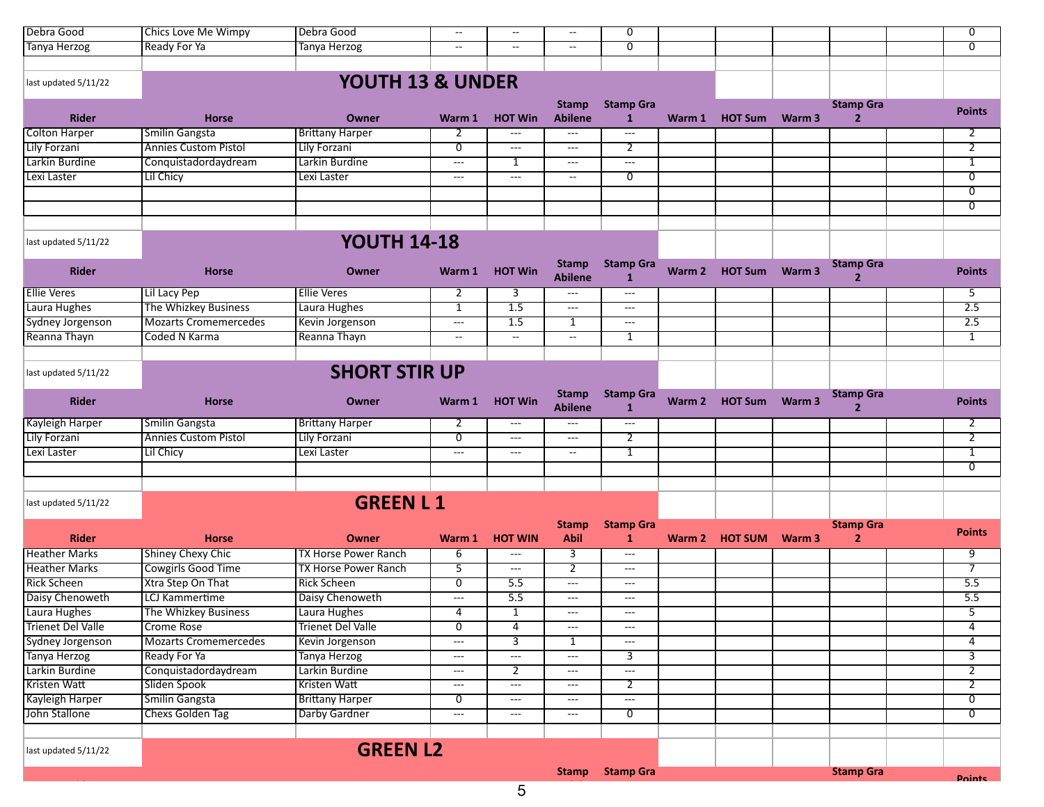| Debra Good               | <b>Chics Love Me Wimpy</b>   | Debra Good                  | $\hspace{0.05cm} -\hspace{0.05cm} -\hspace{0.05cm}$ | $\overline{\phantom{a}}$                 | $\overline{\phantom{a}}$                 | 0                                        |        |                |        |                                    | 0                |
|--------------------------|------------------------------|-----------------------------|-----------------------------------------------------|------------------------------------------|------------------------------------------|------------------------------------------|--------|----------------|--------|------------------------------------|------------------|
| <b>Tanya Herzog</b>      | <b>Ready For Ya</b>          | Tanya Herzog                | $\overline{\phantom{a}}$                            | $\overline{\phantom{a}}$                 | $\overline{\phantom{a}}$                 | $\overline{0}$                           |        |                |        |                                    | $\overline{0}$   |
|                          |                              |                             |                                                     |                                          |                                          |                                          |        |                |        |                                    |                  |
| last updated 5/11/22     |                              | YOUTH 13 & UNDER            |                                                     |                                          |                                          |                                          |        |                |        |                                    |                  |
|                          |                              |                             |                                                     |                                          |                                          |                                          |        |                |        |                                    |                  |
| <b>Rider</b>             | <b>Horse</b>                 | Owner                       | Warm 1                                              | <b>HOT Win</b>                           | <b>Stamp</b><br><b>Abilene</b>           | <b>Stamp Gra</b><br>$\mathbf{1}$         | Warm 1 | <b>HOT Sum</b> | Warm 3 | <b>Stamp Gra</b><br>$\overline{2}$ | <b>Points</b>    |
| Colton Harper            | <b>Smilin Gangsta</b>        | <b>Brittany Harper</b>      | 2                                                   | ---                                      | $\hspace{0.05cm} \ldots \hspace{0.05cm}$ | $\overline{\phantom{a}}$                 |        |                |        |                                    | 2                |
| Lily Forzani             | <b>Annies Custom Pistol</b>  | Lily Forzani                | $\overline{0}$                                      | $\hspace{0.05cm} \ldots \hspace{0.05cm}$ | $\qquad \qquad - -$                      | 2                                        |        |                |        |                                    | $\overline{2}$   |
| Larkin Burdine           | Conquistadordaydream         | Larkin Burdine              | $\qquad \qquad \cdots$                              | 1                                        | $\hspace{0.05cm} \ldots$                 | $\sim$ $\sim$                            |        |                |        |                                    | 1                |
| Lexi Laster              | <b>Lil Chicy</b>             | Lexi Laster                 | $---$                                               | $\overline{\phantom{a}}$                 | $\overline{\phantom{a}}$                 | 0                                        |        |                |        |                                    | $\overline{0}$   |
|                          |                              |                             |                                                     |                                          |                                          |                                          |        |                |        |                                    | $\overline{0}$   |
|                          |                              |                             |                                                     |                                          |                                          |                                          |        |                |        |                                    | 0                |
| last updated 5/11/22     |                              | <b>YOUTH 14-18</b>          |                                                     |                                          |                                          |                                          |        |                |        |                                    |                  |
|                          |                              |                             |                                                     |                                          |                                          |                                          |        |                |        |                                    |                  |
| <b>Rider</b>             | <b>Horse</b>                 | Owner                       | Warm 1                                              | <b>HOT Win</b>                           | <b>Stamp</b><br><b>Abilene</b>           | <b>Stamp Gra</b><br>$\mathbf{1}$         | Warm 2 | <b>HOT Sum</b> | Warm 3 | <b>Stamp Gra</b><br>$\overline{2}$ | <b>Points</b>    |
| <b>Ellie Veres</b>       | Lil Lacy Pep                 | <b>Ellie Veres</b>          | 2                                                   | 3                                        | $\hspace{0.05cm} \ldots$                 | $\hspace{0.05cm} \ldots \hspace{0.05cm}$ |        |                |        |                                    | 5                |
| Laura Hughes             | The Whizkey Business         | Laura Hughes                | $\overline{1}$                                      | 1.5                                      | $\sim$ $\sim$                            | $\overline{\phantom{a}}$                 |        |                |        |                                    | 2.5              |
| Sydney Jorgenson         | <b>Mozarts Cromemercedes</b> | Kevin Jorgenson             | $\overline{a}$                                      | $\overline{1.5}$                         | $\overline{1}$                           | $\overline{\phantom{a}}$                 |        |                |        |                                    | 2.5              |
| Reanna Thayn             | Coded N Karma                | Reanna Thayn                | $\sim$                                              | $\sim$                                   | $\sim$                                   | 1                                        |        |                |        |                                    | $\mathbf{1}$     |
|                          |                              |                             |                                                     |                                          |                                          |                                          |        |                |        |                                    |                  |
| last updated 5/11/22     |                              | <b>SHORT STIR UP</b>        |                                                     |                                          |                                          |                                          |        |                |        |                                    |                  |
| <b>Rider</b>             | <b>Horse</b>                 | Owner                       | Warm 1                                              | <b>HOT Win</b>                           | <b>Stamp</b><br><b>Abilene</b>           | <b>Stamp Gra</b><br>1                    | Warm 2 | <b>HOT Sum</b> | Warm 3 | <b>Stamp Gra</b><br>$\overline{2}$ | <b>Points</b>    |
| <b>Kayleigh Harper</b>   | Smilin Gangsta               | <b>Brittany Harper</b>      | 2                                                   | $\qquad \qquad - -$                      | ---                                      | $\cdots$                                 |        |                |        |                                    | 2                |
| Lily Forzani             | <b>Annies Custom Pistol</b>  | Lily Forzani                | 0                                                   | ---                                      | $\hspace{0.05cm} \ldots$                 | $\overline{2}$                           |        |                |        |                                    | $\overline{2}$   |
| Lexi Laster              | Lil Chicy                    | Lexi Laster                 | $\overline{\phantom{a}}$                            | $  -$                                    | $\overline{\phantom{a}}$                 | $\mathbf{1}$                             |        |                |        |                                    | 1                |
|                          |                              |                             |                                                     |                                          |                                          |                                          |        |                |        |                                    | 0                |
|                          |                              |                             |                                                     |                                          |                                          |                                          |        |                |        |                                    |                  |
| last updated 5/11/22     |                              | <b>GREEN L1</b>             |                                                     |                                          |                                          |                                          |        |                |        |                                    |                  |
|                          |                              |                             |                                                     |                                          | <b>Stamp</b>                             | <b>Stamp Gra</b>                         |        |                |        | <b>Stamp Gra</b>                   |                  |
| <b>Rider</b>             | <b>Horse</b>                 | Owner                       | Warm 1                                              | <b>HOT WIN</b>                           | <b>Abil</b>                              | $\mathbf{1}$                             |        | Warm 2 HOT SUM | Warm 3 | $\overline{2}$                     | <b>Points</b>    |
| <b>Heather Marks</b>     | <b>Shiney Chexy Chic</b>     | <b>TX Horse Power Ranch</b> | 6                                                   | $  -$                                    | 3                                        | $\overline{\phantom{a}}$                 |        |                |        |                                    | 9                |
| <b>Heather Marks</b>     | Cowgirls Good Time           | <b>TX Horse Power Ranch</b> | 5                                                   | ---                                      | $\overline{2}$                           | $\overline{\phantom{a}}$                 |        |                |        |                                    | $\overline{7}$   |
| <b>Rick Scheen</b>       | Xtra Step On That            | <b>Rick Scheen</b>          | $\overline{0}$                                      | 5.5                                      | $\scriptstyle\cdots\scriptstyle\cdots$   | $\sim$ $\sim$                            |        |                |        |                                    | 5.5              |
| Daisy Chenoweth          | <b>LCJ</b> Kammertime        | Daisy Chenoweth             | $\sim$ $\sim$                                       | 5.5                                      | $\hspace{0.05cm} \ldots$                 | $\overline{\phantom{a}}$                 |        |                |        |                                    | $\overline{5.5}$ |
| Laura Hughes             | The Whizkey Business         | Laura Hughes                | 4                                                   | 1                                        | $\qquad \qquad - -$                      | $---$                                    |        |                |        |                                    | 5                |
| <b>Trienet Del Valle</b> | <b>Crome Rose</b>            | <b>Trienet Del Valle</b>    | $\overline{0}$                                      | 4                                        | $\hspace{0.05cm}---\hspace{0.05cm}$      | $--$                                     |        |                |        |                                    | 4                |
| Sydney Jorgenson         | <b>Mozarts Cromemercedes</b> | Kevin Jorgenson             | $\sim$ $\sim$                                       | $\overline{3}$                           | $\overline{1}$                           | $\hspace{0.05cm} \ldots \hspace{0.05cm}$ |        |                |        |                                    | 4                |
| Tanya Herzog             | Ready For Ya                 | Tanya Herzog                | $\hspace{0.05cm} \dashrightarrow$                   | $\qquad \qquad - -$                      | $\hspace{0.05cm} \ldots$                 | 3                                        |        |                |        |                                    | 3                |
| Larkin Burdine           | Conquistadordaydream         | Larkin Burdine              | $\hspace{0.05cm}---\hspace{0.05cm}$                 | $\overline{2}$                           | $\hspace{0.05cm} \ldots$                 | $\overline{\phantom{a}}$                 |        |                |        |                                    | $\overline{2}$   |
| Kristen Watt             | Sliden Spook                 | Kristen Watt                | $\sim$ $\sim$                                       | $\sim$ $\sim$                            | $\hspace{0.05cm} \ldots$                 | $\overline{2}$                           |        |                |        |                                    | $\overline{2}$   |
| <b>Kayleigh Harper</b>   | Smilin Gangsta               | <b>Brittany Harper</b>      | $\overline{0}$                                      | $\hspace{0.05cm} \ldots \hspace{0.05cm}$ | $\sim$ $\sim$                            | $\sim$ $\sim$                            |        |                |        |                                    | $\overline{0}$   |
| John Stallone            | Chexs Golden Tag             | Darby Gardner               | $\qquad \qquad \cdots$                              | $\hspace{0.05cm} \ldots \hspace{0.05cm}$ | $\hspace{0.05cm} \ldots$                 | $\overline{0}$                           |        |                |        |                                    | $\overline{0}$   |
| last updated 5/11/22     |                              | <b>GREEN L2</b>             |                                                     |                                          |                                          |                                          |        |                |        |                                    |                  |
|                          |                              |                             |                                                     |                                          |                                          |                                          |        |                |        |                                    |                  |
|                          |                              |                             |                                                     |                                          | <b>Stamp</b>                             | <b>Stamp Gra</b>                         |        |                |        | <b>Stamp Gra</b>                   | <b>Points</b>    |
|                          |                              |                             |                                                     | Б.                                       |                                          |                                          |        |                |        |                                    |                  |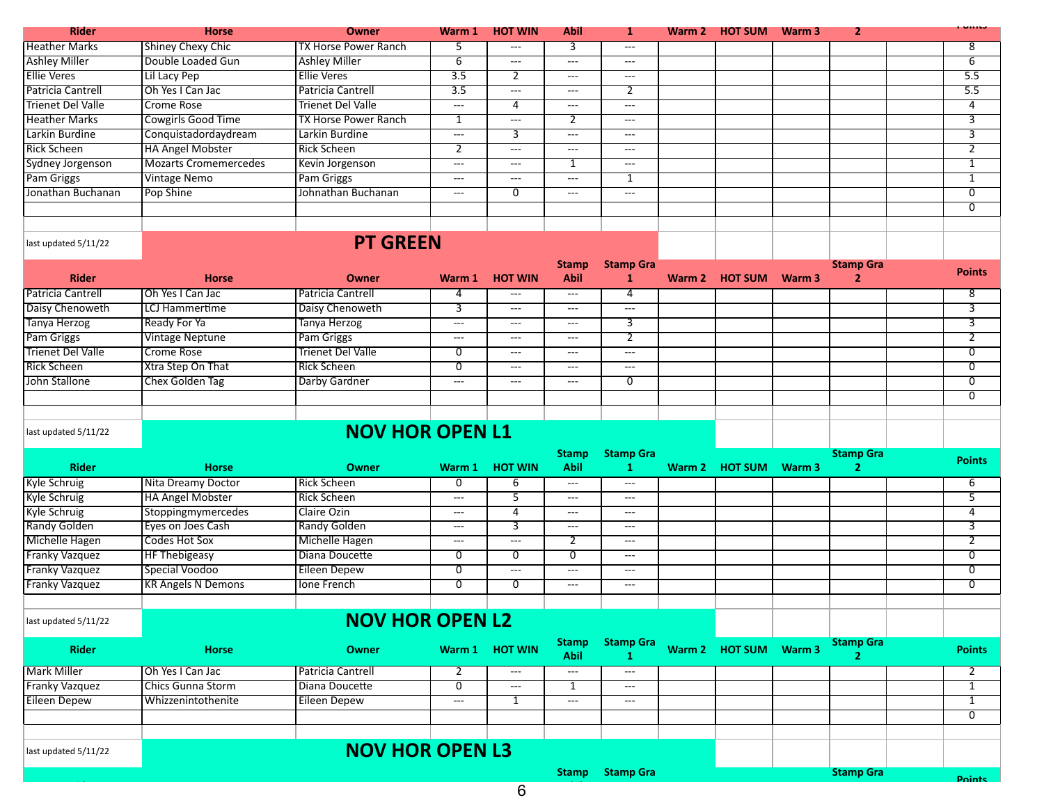| <b>Rider</b>         | <b>Horse</b>                  | <b>Owner</b>                | Warm 1           | <b>HOT WIN</b> | <b>Abil</b> |                   | Warm 2 HOT SUM | Warm 3 | 2 | .   |
|----------------------|-------------------------------|-----------------------------|------------------|----------------|-------------|-------------------|----------------|--------|---|-----|
| <b>Heather Marks</b> | Shiney Chexy Chic             | <b>TX Horse Power Ranch</b> |                  | $---$          |             | $\qquad \qquad -$ |                |        |   | 8   |
| <b>Ashley Miller</b> | Double Loaded Gun             | <b>Ashley Miller</b>        | b                | $---$          | $---$       | $---$             |                |        |   | b   |
| <b>Ellie Veres</b>   | Lil Lacy Pep                  | <b>IEllie Veres</b>         | $3.\overline{5}$ |                | $---$       | $---$             |                |        |   | 5.5 |
| Patricia Cantrell    | Oh Yes I Can Jac              | <b>Patricia Cantrell</b>    | $\overline{3.5}$ | $---$          | $---$       |                   |                |        |   | 5.5 |
| Trienet Del Valle    | Crome Rose                    | <b>Trienet Del Valle</b>    | $---$            | 4              | $---$       | $---$             |                |        |   | 4   |
| <b>Heather Marks</b> | Cowgirls Good Time            | <b>TX Horse Power Ranch</b> |                  | $---$          |             | $---$             |                |        |   | ್   |
| Larkin Burdine       | Conquistadordaydream          | Larkin Burdine              | $---$            |                | $---$       | $---$             |                |        |   |     |
| <b>Rick Scheen</b>   | <b>HA Angel Mobster</b>       | Rick Scheen                 |                  | $---$          | $--$        | $---$             |                |        |   |     |
| Sydney Jorgenson     | <b>IMozarts Cromemercedes</b> | Kevin Jorgenson             | $---$            | $---$          |             | $---$             |                |        |   |     |
| Pam Griggs           | <b>Vintage Nemo</b>           | <b>Pam Griggs</b>           | $---$            | $---$          | $---$       |                   |                |        |   |     |
| Jonathan Buchanan    | <b>Pop Shine</b>              | Johnathan Buchanan          | $---$            | U              | $---$       | $---$             |                |        |   | 0   |
|                      |                               |                             |                  |                |             |                   |                |        |   | 0   |
|                      |                               |                             |                  |                |             |                   |                |        |   |     |
| last updated 5/11/22 |                               | <b>PT GREEN</b>             |                  |                |             |                   |                |        |   |     |

| <b>Rider</b>             | <b>Horse</b>             | Owner                    | Warm 1 | <b>HOT WIN</b> | <b>Stamp</b><br><b>Abil</b> | <b>Stamp Gra</b> | Warm 2 HOT SUM | Warm 3 | <b>Stamp Gra</b> | <b>Points</b> |
|--------------------------|--------------------------|--------------------------|--------|----------------|-----------------------------|------------------|----------------|--------|------------------|---------------|
| Patricia Cantrell        | <b>IOh Yes I Can Jac</b> | Patricia Cantrell        |        | $---$          | ---                         |                  |                |        |                  | 8             |
| Daisy Chenoweth          | LCJ Hammertime           | Daisy Chenoweth          |        | $---$          | $---$                       | $---$            |                |        |                  |               |
| Tanya Herzog             | Ready For Ya             | Tanya Herzog             | ---    | $---$          | $\frac{1}{2}$               |                  |                |        |                  |               |
| Pam Griggs               | <b>Vintage Neptune</b>   | Pam Griggs               | ---    | $- - -$        | $\frac{1}{2}$               |                  |                |        |                  |               |
| <b>Trienet Del Valle</b> | Crome Rose               | <b>Trienet Del Valle</b> |        | $---$          | $---$                       | $---$            |                |        |                  | 0             |
| <b>Rick Scheen</b>       | Xtra Step On That        | l Rick Scheen            |        | $---$          | $---$                       | $---$            |                |        |                  | 0             |
| John Stallone            | Chex Golden Tag          | Darby Gardner            | ---    | $- - -$        | $\frac{1}{2}$               | 0                |                |        |                  | 0             |
|                          |                          |                          |        |                |                             |                  |                |        |                  | 0             |
|                          |                          |                          |        |                |                             |                  |                |        |                  |               |
| last updated 5/11/22     |                          |                          |        |                |                             |                  |                |        |                  |               |

| <b>Rider</b>                  | <b>Horse</b>              | <b>Owner</b>        | Warm 1                  | <b>HOT WIN</b> | <b>Stamp</b><br><b>Abil</b> | <b>Stamp Gra</b> | Warm 2 | <b>HOT SUM</b> | Warm 3 | <b>Stamp Gra</b> | <b>Points</b> |
|-------------------------------|---------------------------|---------------------|-------------------------|----------------|-----------------------------|------------------|--------|----------------|--------|------------------|---------------|
| Kyle Schruig                  | Nita Dreamy Doctor        | <b>IRick Scheen</b> |                         |                | $---$                       | $---$            |        |                |        |                  |               |
| <b>Kyle Schruig</b>           | <b>HA Angel Mobster</b>   | Rick Scheen         | $---$                   |                | $---$                       | $---$            |        |                |        |                  |               |
| <b>Kyle Schruig</b>           | Stoppingmymercedes        | Claire Ozin         | $---$                   |                | $\frac{1}{2}$               | $---$            |        |                |        |                  |               |
| Randy Golden                  | Eyes on Joes Cash         | Randy Golden        | $---$                   |                | $---$                       | $---$            |        |                |        |                  |               |
| Michelle Hagen                | Codes Hot Sox             | Michelle Hagen      | $---$                   | $- - -$        |                             | $- - -$          |        |                |        |                  |               |
| <b>Franky Vazquez</b>         | <b>HF Thebigeasy</b>      | Diana Doucette      |                         |                | 0                           | $---$            |        |                |        |                  |               |
| <b>Franky Vazquez</b>         | Special Voodoo            | Eileen Depew        |                         | $---$          | $---$                       | $---$            |        |                |        |                  |               |
| <b>Franky Vazquez</b>         | <b>KR Angels N Demons</b> | l Ione French       |                         |                | $\frac{1}{2}$               | $- - -$          |        |                |        |                  |               |
|                               |                           |                     |                         |                |                             |                  |        |                |        |                  |               |
| $1 - 1$ $-1 - 1 - 1 = 144122$ |                           |                     | <b>NOVILLOD ODENLIS</b> |                |                             |                  |        |                |        |                  |               |

## **NOV HOR OPEN L2**

| <b>Rider</b>          | <b>Horse</b>             | <b>Owner</b>               |       | Warm 1 HOT WIN | <b>Stamp</b><br>Abil | <b>Stamp Gra</b> |  | Warm 2 HOT SUM Warm 3 | <b>Stamp Gra</b> | <b>Points</b> |
|-----------------------|--------------------------|----------------------------|-------|----------------|----------------------|------------------|--|-----------------------|------------------|---------------|
| Mark Miller           | <b>IOh Yes I Can Jac</b> | <b>I Patricia Cantrell</b> |       | $---$          | $---$                | $---$            |  |                       |                  |               |
| <b>Franky Vazquez</b> | Chics Gunna Storm        | Diana Doucette             |       | $---$          |                      | $---$            |  |                       |                  |               |
| Eileen Depew          | Whizzenintothenite       | <b>Eileen Depew</b>        | $---$ |                | $- - -$              | $---$            |  |                       |                  |               |
|                       |                          |                            |       |                |                      |                  |  |                       |                  |               |
|                       |                          |                            |       |                |                      |                  |  |                       |                  |               |
| last updated 5/11/22  |                          | <b>NOV HOR OPEN L3</b>     |       |                |                      |                  |  |                       |                  |               |
|                       | <b>Stamp</b>             |                            |       |                |                      |                  |  |                       | <b>Stamp Gra</b> | <b>Points</b> |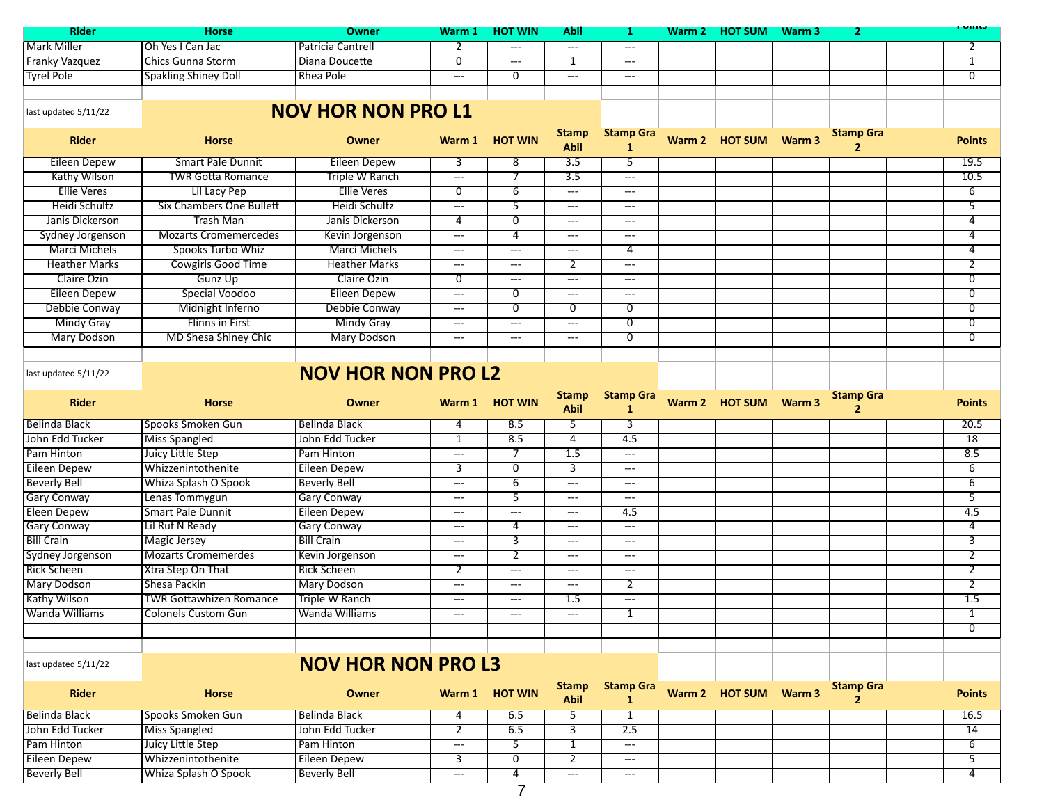| <b>Rider</b>            | <b>Horse</b>                    | <b>Owner</b>              | Warm 1                                   | <b>HOT WIN</b> | Abil                                     | 1                                 | Warm 2 | <b>HOT SUM Warm 3</b> |                   | 2                                  |                 |
|-------------------------|---------------------------------|---------------------------|------------------------------------------|----------------|------------------------------------------|-----------------------------------|--------|-----------------------|-------------------|------------------------------------|-----------------|
| Mark Miller             | Oh Yes I Can Jac                | Patricia Cantrell         | 2                                        | ---            | $---$                                    | $\qquad \qquad - -$               |        |                       |                   |                                    | 2               |
| <b>Franky Vazquez</b>   | <b>Chics Gunna Storm</b>        | Diana Doucette            | $\overline{0}$                           | ---            | 1                                        | $---$                             |        |                       |                   |                                    | $\mathbf{1}$    |
| <b>Tyrel Pole</b>       | <b>Spakling Shiney Doll</b>     | Rhea Pole                 | $\qquad \qquad - -$                      | $\overline{0}$ | $\qquad \qquad - -$                      | $---$                             |        |                       |                   |                                    | $\overline{0}$  |
|                         |                                 |                           |                                          |                |                                          |                                   |        |                       |                   |                                    |                 |
| last updated 5/11/22    |                                 | <b>NOV HOR NON PRO L1</b> |                                          |                |                                          |                                   |        |                       |                   |                                    |                 |
| <b>Rider</b>            | <b>Horse</b>                    | Owner                     | Warm 1                                   | <b>HOT WIN</b> | <b>Stamp</b><br><b>Abil</b>              | <b>Stamp Gra</b><br>$\mathbf{1}$  | Warm 2 | <b>HOT SUM</b>        | Warm 3            | <b>Stamp Gra</b><br>$\overline{2}$ | <b>Points</b>   |
| <b>Eileen Depew</b>     | <b>Smart Pale Dunnit</b>        | <b>Eileen Depew</b>       | $\overline{3}$                           | $\overline{8}$ | $\overline{3.5}$                         | $\overline{5}$                    |        |                       |                   |                                    | 19.5            |
| <b>Kathy Wilson</b>     | <b>TWR Gotta Romance</b>        | Triple W Ranch            | $\sim$ $\sim$                            | $\overline{7}$ | 3.5                                      | $\sim$ $\sim$                     |        |                       |                   |                                    | 10.5            |
| <b>Ellie Veres</b>      | Lil Lacy Pep                    | <b>Ellie Veres</b>        | $\overline{0}$                           | 6              | $\overline{\phantom{a}}$                 | $---$                             |        |                       |                   |                                    | $\overline{6}$  |
| Heidi Schultz           | <b>Six Chambers One Bullett</b> | Heidi Schultz             | $\overline{\phantom{a}}$                 | 5              | $\cdots$                                 | $  -$                             |        |                       |                   |                                    | 5               |
| Janis Dickerson         | <b>Trash Man</b>                | Janis Dickerson           | 4                                        | $\overline{0}$ | $\hspace{0.05cm} \ldots \hspace{0.05cm}$ | ---                               |        |                       |                   |                                    | 4               |
| <b>Sydney Jorgenson</b> | <b>Mozarts Cromemercedes</b>    | Kevin Jorgenson           | $---$                                    | 4              | $\cdots$                                 | $---$                             |        |                       |                   |                                    | 4               |
| <b>Marci Michels</b>    | Spooks Turbo Whiz               | <b>Marci Michels</b>      | $---$                                    | ---            | ---                                      | 4                                 |        |                       |                   |                                    | 4               |
| <b>Heather Marks</b>    | <b>Cowgirls Good Time</b>       | <b>Heather Marks</b>      | $\overline{\phantom{a}}$                 | ---            | 2                                        | $\overline{\phantom{a}}$          |        |                       |                   |                                    | $\overline{2}$  |
| Claire Ozin             | Gunz Up                         | Claire Ozin               | 0                                        | $---$          | $---$                                    | $---$                             |        |                       |                   |                                    | 0               |
| <b>Eileen Depew</b>     | Special Voodoo                  | <b>Eileen Depew</b>       | $\hspace{0.05cm} \ldots \hspace{0.05cm}$ | $\overline{0}$ | $\cdots$                                 | $\qquad \qquad - -$               |        |                       |                   |                                    | $\overline{0}$  |
| Debbie Conway           | Midnight Inferno                | Debbie Conway             | $--$                                     | $\overline{0}$ | $\overline{0}$                           | $\overline{0}$                    |        |                       |                   |                                    | $\overline{0}$  |
| <b>Mindy Gray</b>       | <b>Flinns in First</b>          | <b>Mindy Gray</b>         | $\qquad \qquad - -$                      | $\overline{a}$ | $\hspace{0.05cm} \ldots \hspace{0.05cm}$ | $\overline{0}$                    |        |                       |                   |                                    | $\overline{0}$  |
| <b>Mary Dodson</b>      | <b>MD Shesa Shiney Chic</b>     | <b>Mary Dodson</b>        | ---                                      | ---            | ---                                      | $\overline{0}$                    |        |                       |                   |                                    | $\overline{0}$  |
|                         |                                 |                           |                                          |                |                                          |                                   |        |                       |                   |                                    |                 |
| last updated 5/11/22    |                                 | <b>NOV HOR NON PRO L2</b> |                                          |                |                                          |                                   |        |                       |                   |                                    |                 |
| <b>Rider</b>            | <b>Horse</b>                    | Owner                     |                                          | Warm 1 HOT WIN | <b>Stamp</b><br><b>Abil</b>              | <b>Stamp Gra</b><br>$\mathbf{1}$  |        | Warm 2 HOT SUM        | Warm <sub>3</sub> | <b>Stamp Gra</b><br>$\overline{2}$ | <b>Points</b>   |
| <b>Belinda Black</b>    | Spooks Smoken Gun               | <b>Belinda Black</b>      | 4                                        | 8.5            | 5                                        | 3                                 |        |                       |                   |                                    | 20.5            |
| John Edd Tucker         | <b>Miss Spangled</b>            | John Edd Tucker           | $\overline{1}$                           | 8.5            | $\overline{4}$                           | 4.5                               |        |                       |                   |                                    | $\overline{18}$ |
| Pam Hinton              | Juicy Little Step               | Pam Hinton                | $\overline{a}$                           | $\overline{7}$ | 1.5                                      | $\overline{\phantom{a}}$          |        |                       |                   |                                    | 8.5             |
| <b>Eileen Depew</b>     | Whizzenintothenite              | Eileen Depew              | 3                                        | $\overline{0}$ | 3                                        | ---                               |        |                       |                   |                                    | 6               |
| <b>Beverly Bell</b>     | Whiza Splash O Spook            | <b>Beverly Bell</b>       | $\overline{a}$                           | $\overline{6}$ | $\overline{\phantom{a}}$                 | $  -$                             |        |                       |                   |                                    | $\overline{6}$  |
| <b>Gary Conway</b>      | Lenas Tommygun                  | <b>Gary Conway</b>        | $---$                                    | 5              | $\cdots$                                 | $\overline{\phantom{a}}$          |        |                       |                   |                                    | $\overline{5}$  |
| <b>Eleen Depew</b>      | <b>Smart Pale Dunnit</b>        | <b>Eileen Depew</b>       | $---$                                    | ---            | ---                                      | 4.5                               |        |                       |                   |                                    | 4.5             |
| <b>Gary Conway</b>      | Lil Ruf N Ready                 | <b>Gary Conway</b>        | $---$                                    | $\overline{4}$ | $  -$                                    | $---$                             |        |                       |                   |                                    | $\overline{4}$  |
| <b>Bill Crain</b>       | Magic Jersey                    | <b>Bill Crain</b>         | $---$                                    | 3              | $\hspace{0.05cm} \ldots \hspace{0.05cm}$ | $\overline{\phantom{a}}$          |        |                       |                   |                                    | 3               |
| Sydney Jorgenson        | Mozarts Cromemerdes             | Kevin Jorgenson           | $---$                                    | $\overline{2}$ | $---$                                    | $---$                             |        |                       |                   |                                    | $\overline{2}$  |
| <b>Rick Scheen</b>      | Xtra Step On That               | <b>Rick Scheen</b>        | $\overline{2}$                           | $---$          | $---$                                    | $\qquad \qquad - -$               |        |                       |                   |                                    | $\overline{2}$  |
| <b>Mary Dodson</b>      | Shesa Packin                    | <b>Mary Dodson</b>        | $---$                                    | ---            | $\sim$ $\sim$                            | 2                                 |        |                       |                   |                                    | $\overline{2}$  |
| <b>Kathy Wilson</b>     | <b>TWR Gottawhizen Romance</b>  | Triple W Ranch            | $---$                                    | $---$          | 1.5                                      | ---                               |        |                       |                   |                                    | 1.5             |
| Wanda Williams          | Colonels Custom Gun             | Wanda Williams            |                                          |                |                                          | 1                                 |        |                       |                   |                                    | ı,              |
|                         |                                 |                           |                                          |                |                                          |                                   |        |                       |                   |                                    | $\overline{0}$  |
|                         |                                 |                           |                                          |                |                                          |                                   |        |                       |                   |                                    |                 |
| last updated 5/11/22    |                                 | <b>NOV HOR NON PRO L3</b> |                                          |                |                                          |                                   |        |                       |                   |                                    |                 |
| <b>Rider</b>            | Horse                           | Owner                     |                                          | Warm 1 HOT WIN | <b>Stamp</b><br><b>Abil</b>              | <b>Stamp Gra</b><br>$\mathbf{1}$  |        | Warm 2 HOT SUM Warm 3 |                   | <b>Stamp Gra</b><br>$\overline{2}$ | <b>Points</b>   |
| <b>Belinda Black</b>    | Spooks Smoken Gun               | <b>Belinda Black</b>      | 4                                        | 6.5            | 5                                        | $\mathbf{1}$                      |        |                       |                   |                                    | 16.5            |
| John Edd Tucker         | <b>Miss Spangled</b>            | John Edd Tucker           | 2                                        | 6.5            | 3                                        | 2.5                               |        |                       |                   |                                    | 14              |
| Pam Hinton              | Juicy Little Step               | Pam Hinton                | $---$                                    | 5              | $\mathbf{1}$                             | $\cdots$                          |        |                       |                   |                                    | 6               |
| <b>Eileen Depew</b>     | Whizzenintothenite              | Eileen Depew              | $\overline{3}$                           | 0              | $\overline{2}$                           | $\scriptstyle\cdots$              |        |                       |                   |                                    | $\overline{5}$  |
| <b>Beverly Bell</b>     | Whiza Splash O Spook            | <b>Beverly Bell</b>       | $\hspace{0.05cm} \dashrightarrow$        | 4              | $\hspace{0.05cm} \ldots$                 | $\hspace{0.05cm} \dashrightarrow$ |        |                       |                   |                                    | 4               |